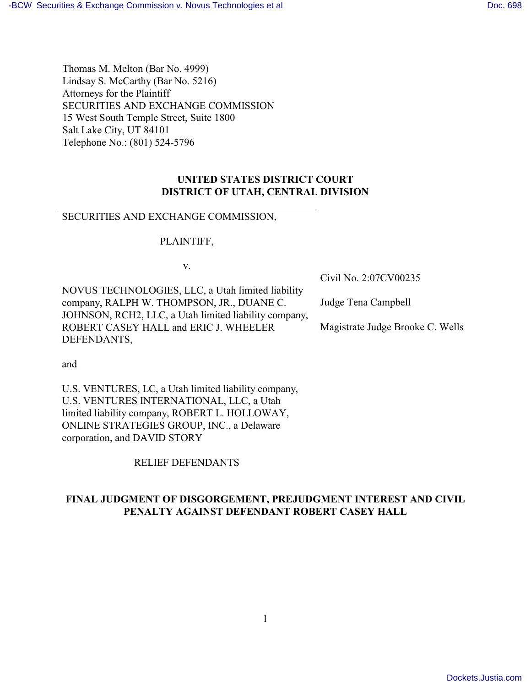Thomas M. Melton (Bar No. 4999) Lindsay S. McCarthy (Bar No. 5216) Attorneys for the Plaintiff SECURITIES AND EXCHANGE COMMISSION 15 West South Temple Street, Suite 1800 Salt Lake City, UT 84101 Telephone No.: (801) 524-5796

# **UNITED STATES DISTRICT COURT DISTRICT OF UTAH, CENTRAL DIVISION**

## SECURITIES AND EXCHANGE COMMISSION,

PLAINTIFF,

v.

NOVUS TECHNOLOGIES, LLC, a Utah limited liability company, RALPH W. THOMPSON, JR., DUANE C. JOHNSON, RCH2, LLC, a Utah limited liability company, ROBERT CASEY HALL and ERIC J. WHEELER DEFENDANTS,

Civil No. 2:07CV00235

Judge Tena Campbell

Magistrate Judge Brooke C. Wells

and

U.S. VENTURES, LC, a Utah limited liability company, U.S. VENTURES INTERNATIONAL, LLC, a Utah limited liability company, ROBERT L. HOLLOWAY, ONLINE STRATEGIES GROUP, INC., a Delaware corporation, and DAVID STORY

RELIEF DEFENDANTS

# **FINAL JUDGMENT OF DISGORGEMENT, PREJUDGMENT INTEREST AND CIVIL PENALTY AGAINST DEFENDANT ROBERT CASEY HALL**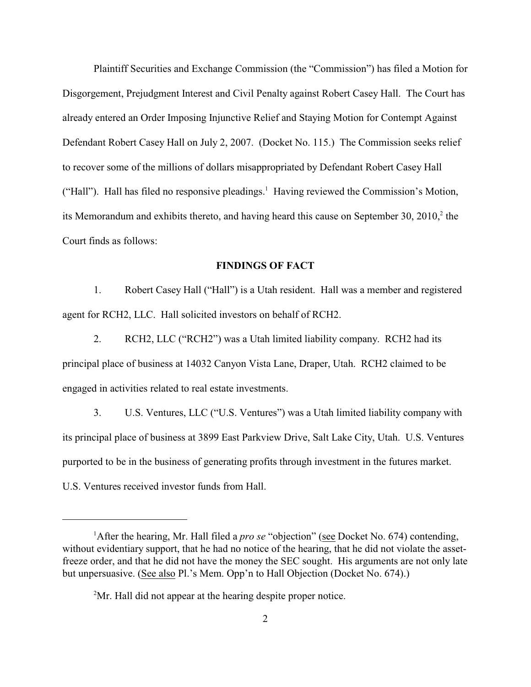Plaintiff Securities and Exchange Commission (the "Commission") has filed a Motion for Disgorgement, Prejudgment Interest and Civil Penalty against Robert Casey Hall. The Court has already entered an Order Imposing Injunctive Relief and Staying Motion for Contempt Against Defendant Robert Casey Hall on July 2, 2007. (Docket No. 115.) The Commission seeks relief to recover some of the millions of dollars misappropriated by Defendant Robert Casey Hall ("Hall"). Hall has filed no responsive pleadings.<sup>1</sup> Having reviewed the Commission's Motion, its Memorandum and exhibits thereto, and having heard this cause on September 30,  $2010<sub>1</sub><sup>2</sup>$  the Court finds as follows:

#### **FINDINGS OF FACT**

1. Robert Casey Hall ("Hall") is a Utah resident. Hall was a member and registered agent for RCH2, LLC. Hall solicited investors on behalf of RCH2.

2. RCH2, LLC ("RCH2") was a Utah limited liability company. RCH2 had its principal place of business at 14032 Canyon Vista Lane, Draper, Utah. RCH2 claimed to be engaged in activities related to real estate investments.

3. U.S. Ventures, LLC ("U.S. Ventures") was a Utah limited liability company with its principal place of business at 3899 East Parkview Drive, Salt Lake City, Utah. U.S. Ventures purported to be in the business of generating profits through investment in the futures market. U.S. Ventures received investor funds from Hall.

<sup>&</sup>lt;sup>1</sup> After the hearing, Mr. Hall filed a *pro se* "objection" (see Docket No. 674) contending, without evidentiary support, that he had no notice of the hearing, that he did not violate the assetfreeze order, and that he did not have the money the SEC sought. His arguments are not only late but unpersuasive. (See also Pl.'s Mem. Opp'n to Hall Objection (Docket No. 674).)

 $2<sup>2</sup>$ Mr. Hall did not appear at the hearing despite proper notice.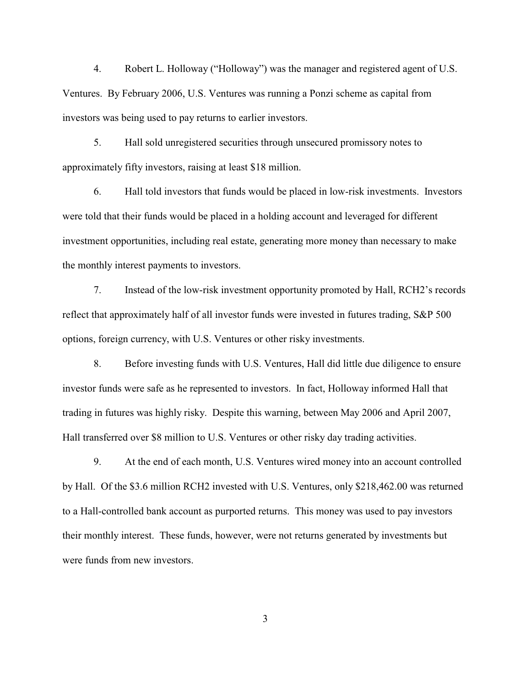4. Robert L. Holloway ("Holloway") was the manager and registered agent of U.S. Ventures. By February 2006, U.S. Ventures was running a Ponzi scheme as capital from investors was being used to pay returns to earlier investors.

5. Hall sold unregistered securities through unsecured promissory notes to approximately fifty investors, raising at least \$18 million.

6. Hall told investors that funds would be placed in low-risk investments. Investors were told that their funds would be placed in a holding account and leveraged for different investment opportunities, including real estate, generating more money than necessary to make the monthly interest payments to investors.

7. Instead of the low-risk investment opportunity promoted by Hall, RCH2's records reflect that approximately half of all investor funds were invested in futures trading, S&P 500 options, foreign currency, with U.S. Ventures or other risky investments.

8. Before investing funds with U.S. Ventures, Hall did little due diligence to ensure investor funds were safe as he represented to investors. In fact, Holloway informed Hall that trading in futures was highly risky. Despite this warning, between May 2006 and April 2007, Hall transferred over \$8 million to U.S. Ventures or other risky day trading activities.

9. At the end of each month, U.S. Ventures wired money into an account controlled by Hall. Of the \$3.6 million RCH2 invested with U.S. Ventures, only \$218,462.00 was returned to a Hall-controlled bank account as purported returns. This money was used to pay investors their monthly interest. These funds, however, were not returns generated by investments but were funds from new investors.

3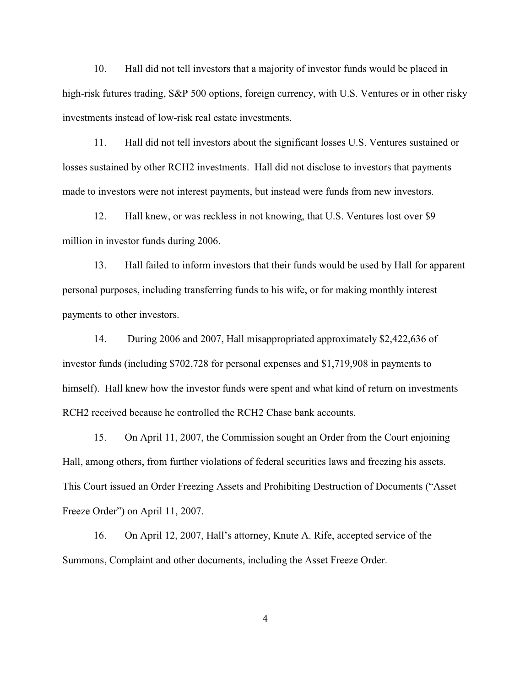10. Hall did not tell investors that a majority of investor funds would be placed in high-risk futures trading, S&P 500 options, foreign currency, with U.S. Ventures or in other risky investments instead of low-risk real estate investments.

11. Hall did not tell investors about the significant losses U.S. Ventures sustained or losses sustained by other RCH2 investments. Hall did not disclose to investors that payments made to investors were not interest payments, but instead were funds from new investors.

12. Hall knew, or was reckless in not knowing, that U.S. Ventures lost over \$9 million in investor funds during 2006.

13. Hall failed to inform investors that their funds would be used by Hall for apparent personal purposes, including transferring funds to his wife, or for making monthly interest payments to other investors.

14. During 2006 and 2007, Hall misappropriated approximately \$2,422,636 of investor funds (including \$702,728 for personal expenses and \$1,719,908 in payments to himself). Hall knew how the investor funds were spent and what kind of return on investments RCH2 received because he controlled the RCH2 Chase bank accounts.

15. On April 11, 2007, the Commission sought an Order from the Court enjoining Hall, among others, from further violations of federal securities laws and freezing his assets. This Court issued an Order Freezing Assets and Prohibiting Destruction of Documents ("Asset Freeze Order") on April 11, 2007.

16. On April 12, 2007, Hall's attorney, Knute A. Rife, accepted service of the Summons, Complaint and other documents, including the Asset Freeze Order.

4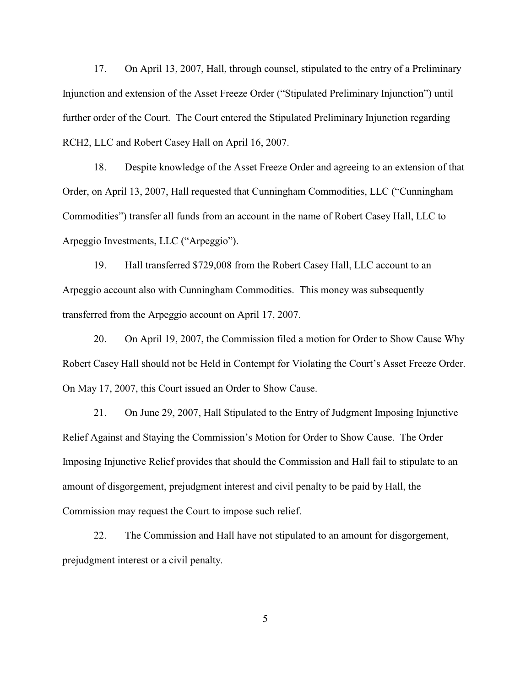17. On April 13, 2007, Hall, through counsel, stipulated to the entry of a Preliminary Injunction and extension of the Asset Freeze Order ("Stipulated Preliminary Injunction") until further order of the Court. The Court entered the Stipulated Preliminary Injunction regarding RCH2, LLC and Robert Casey Hall on April 16, 2007.

18. Despite knowledge of the Asset Freeze Order and agreeing to an extension of that Order, on April 13, 2007, Hall requested that Cunningham Commodities, LLC ("Cunningham Commodities") transfer all funds from an account in the name of Robert Casey Hall, LLC to Arpeggio Investments, LLC ("Arpeggio").

19. Hall transferred \$729,008 from the Robert Casey Hall, LLC account to an Arpeggio account also with Cunningham Commodities. This money was subsequently transferred from the Arpeggio account on April 17, 2007.

20. On April 19, 2007, the Commission filed a motion for Order to Show Cause Why Robert Casey Hall should not be Held in Contempt for Violating the Court's Asset Freeze Order. On May 17, 2007, this Court issued an Order to Show Cause.

21. On June 29, 2007, Hall Stipulated to the Entry of Judgment Imposing Injunctive Relief Against and Staying the Commission's Motion for Order to Show Cause. The Order Imposing Injunctive Relief provides that should the Commission and Hall fail to stipulate to an amount of disgorgement, prejudgment interest and civil penalty to be paid by Hall, the Commission may request the Court to impose such relief.

22. The Commission and Hall have not stipulated to an amount for disgorgement, prejudgment interest or a civil penalty.

5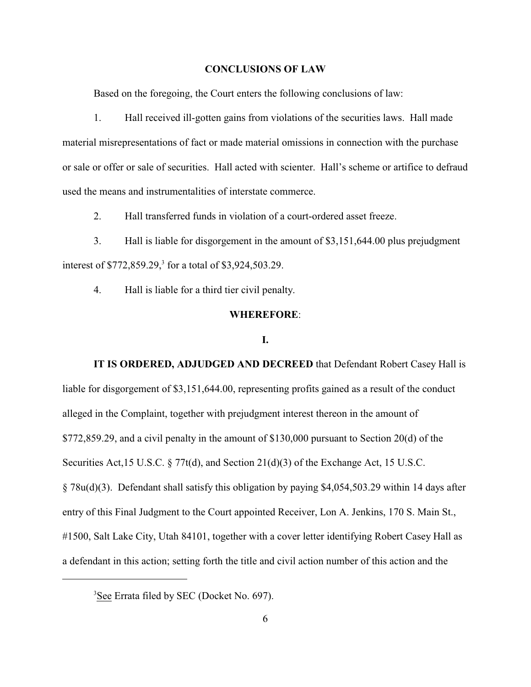#### **CONCLUSIONS OF LAW**

Based on the foregoing, the Court enters the following conclusions of law:

1. Hall received ill-gotten gains from violations of the securities laws. Hall made material misrepresentations of fact or made material omissions in connection with the purchase or sale or offer or sale of securities. Hall acted with scienter. Hall's scheme or artifice to defraud used the means and instrumentalities of interstate commerce.

2. Hall transferred funds in violation of a court-ordered asset freeze.

3. Hall is liable for disgorgement in the amount of \$3,151,644.00 plus prejudgment interest of \$772,859.29,<sup>3</sup> for a total of \$3,924,503.29.

4. Hall is liable for a third tier civil penalty.

## **WHEREFORE**:

### **I.**

**IT IS ORDERED, ADJUDGED AND DECREED** that Defendant Robert Casey Hall is liable for disgorgement of \$3,151,644.00, representing profits gained as a result of the conduct alleged in the Complaint, together with prejudgment interest thereon in the amount of \$772,859.29, and a civil penalty in the amount of \$130,000 pursuant to Section 20(d) of the Securities Act,15 U.S.C. § 77t(d), and Section 21(d)(3) of the Exchange Act, 15 U.S.C. § 78u(d)(3). Defendant shall satisfy this obligation by paying \$4,054,503.29 within 14 days after entry of this Final Judgment to the Court appointed Receiver, Lon A. Jenkins, 170 S. Main St., #1500, Salt Lake City, Utah 84101, together with a cover letter identifying Robert Casey Hall as a defendant in this action; setting forth the title and civil action number of this action and the

<sup>3</sup>See Errata filed by SEC (Docket No. 697).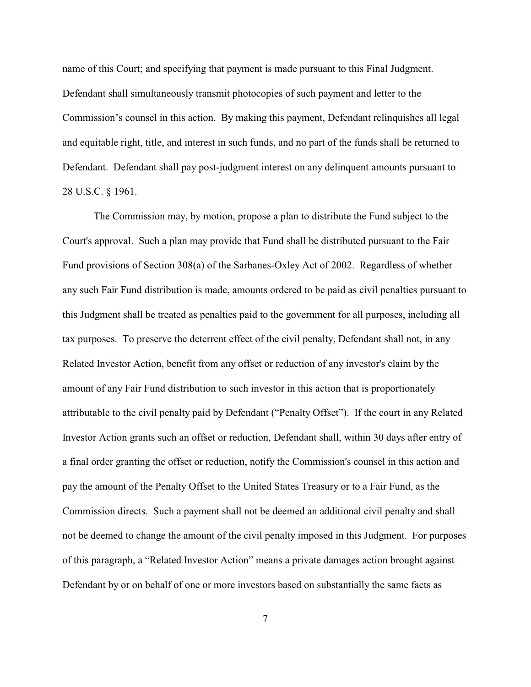name of this Court; and specifying that payment is made pursuant to this Final Judgment. Defendant shall simultaneously transmit photocopies of such payment and letter to the Commission's counsel in this action. By making this payment, Defendant relinquishes all legal and equitable right, title, and interest in such funds, and no part of the funds shall be returned to Defendant. Defendant shall pay post-judgment interest on any delinquent amounts pursuant to 28 U.S.C. § 1961.

The Commission may, by motion, propose a plan to distribute the Fund subject to the Court's approval. Such a plan may provide that Fund shall be distributed pursuant to the Fair Fund provisions of Section 308(a) of the Sarbanes-Oxley Act of 2002. Regardless of whether any such Fair Fund distribution is made, amounts ordered to be paid as civil penalties pursuant to this Judgment shall be treated as penalties paid to the government for all purposes, including all tax purposes. To preserve the deterrent effect of the civil penalty, Defendant shall not, in any Related Investor Action, benefit from any offset or reduction of any investor's claim by the amount of any Fair Fund distribution to such investor in this action that is proportionately attributable to the civil penalty paid by Defendant ("Penalty Offset"). If the court in any Related Investor Action grants such an offset or reduction, Defendant shall, within 30 days after entry of a final order granting the offset or reduction, notify the Commission's counsel in this action and pay the amount of the Penalty Offset to the United States Treasury or to a Fair Fund, as the Commission directs. Such a payment shall not be deemed an additional civil penalty and shall not be deemed to change the amount of the civil penalty imposed in this Judgment. For purposes of this paragraph, a "Related Investor Action" means a private damages action brought against Defendant by or on behalf of one or more investors based on substantially the same facts as